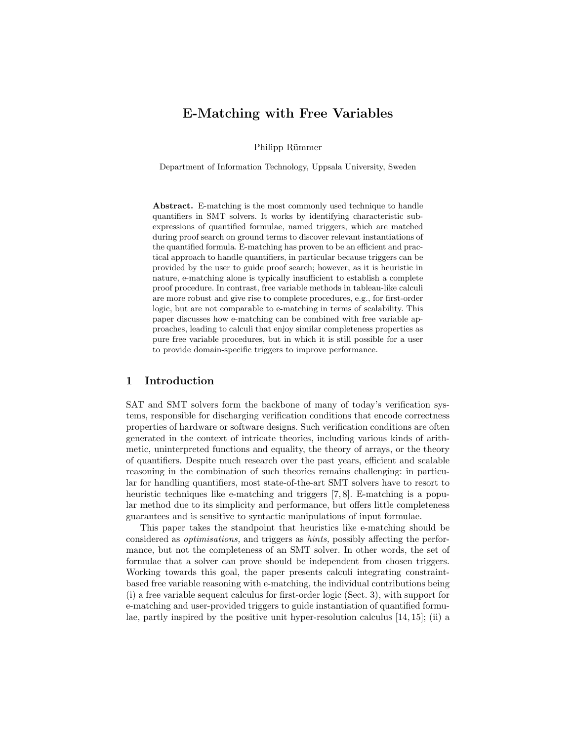# E-Matching with Free Variables

Philipp Rümmer

Department of Information Technology, Uppsala University, Sweden

Abstract. E-matching is the most commonly used technique to handle quantifiers in SMT solvers. It works by identifying characteristic subexpressions of quantified formulae, named triggers, which are matched during proof search on ground terms to discover relevant instantiations of the quantified formula. E-matching has proven to be an efficient and practical approach to handle quantifiers, in particular because triggers can be provided by the user to guide proof search; however, as it is heuristic in nature, e-matching alone is typically insufficient to establish a complete proof procedure. In contrast, free variable methods in tableau-like calculi are more robust and give rise to complete procedures, e.g., for first-order logic, but are not comparable to e-matching in terms of scalability. This paper discusses how e-matching can be combined with free variable approaches, leading to calculi that enjoy similar completeness properties as pure free variable procedures, but in which it is still possible for a user to provide domain-specific triggers to improve performance.

## 1 Introduction

SAT and SMT solvers form the backbone of many of today's verification systems, responsible for discharging verification conditions that encode correctness properties of hardware or software designs. Such verification conditions are often generated in the context of intricate theories, including various kinds of arithmetic, uninterpreted functions and equality, the theory of arrays, or the theory of quantifiers. Despite much research over the past years, efficient and scalable reasoning in the combination of such theories remains challenging: in particular for handling quantifiers, most state-of-the-art SMT solvers have to resort to heuristic techniques like e-matching and triggers [7, 8]. E-matching is a popular method due to its simplicity and performance, but offers little completeness guarantees and is sensitive to syntactic manipulations of input formulae.

This paper takes the standpoint that heuristics like e-matching should be considered as optimisations, and triggers as hints, possibly affecting the performance, but not the completeness of an SMT solver. In other words, the set of formulae that a solver can prove should be independent from chosen triggers. Working towards this goal, the paper presents calculi integrating constraintbased free variable reasoning with e-matching, the individual contributions being (i) a free variable sequent calculus for first-order logic (Sect. 3), with support for e-matching and user-provided triggers to guide instantiation of quantified formulae, partly inspired by the positive unit hyper-resolution calculus [14, 15]; (ii) a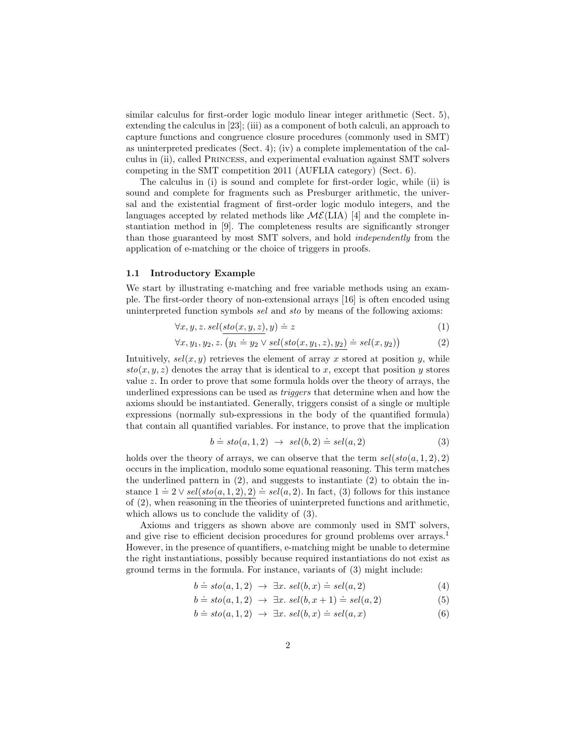similar calculus for first-order logic modulo linear integer arithmetic (Sect. 5), extending the calculus in [23]; (iii) as a component of both calculi, an approach to capture functions and congruence closure procedures (commonly used in SMT) as uninterpreted predicates (Sect. 4); (iv) a complete implementation of the calculus in (ii), called Princess, and experimental evaluation against SMT solvers competing in the SMT competition 2011 (AUFLIA category) (Sect. 6).

The calculus in (i) is sound and complete for first-order logic, while (ii) is sound and complete for fragments such as Presburger arithmetic, the universal and the existential fragment of first-order logic modulo integers, and the languages accepted by related methods like  $M\mathcal{E}(LIA)$  [4] and the complete instantiation method in [9]. The completeness results are significantly stronger than those guaranteed by most SMT solvers, and hold independently from the application of e-matching or the choice of triggers in proofs.

### 1.1 Introductory Example

We start by illustrating e-matching and free variable methods using an example. The first-order theory of non-extensional arrays [16] is often encoded using uninterpreted function symbols sel and sto by means of the following axioms:

$$
\forall x, y, z. \ sel(sto(x, y, z), y) \doteq z \tag{1}
$$

$$
\forall x, y_1, y_2, z. \overline{(y_1 \doteq y_2 \lor \text{sel}(\text{sto}(x, y_1, z), y_2) \doteq \text{sel}(x, y_2))}
$$
\n(2)

Intuitively,  $sel(x, y)$  retrieves the element of array x stored at position y, while  $sto(x, y, z)$  denotes the array that is identical to x, except that position y stores value z. In order to prove that some formula holds over the theory of arrays, the underlined expressions can be used as triggers that determine when and how the axioms should be instantiated. Generally, triggers consist of a single or multiple expressions (normally sub-expressions in the body of the quantified formula) that contain all quantified variables. For instance, to prove that the implication

$$
b \doteq sto(a, 1, 2) \rightarrow sel(b, 2) \doteq sel(a, 2)
$$
\n(3)

holds over the theory of arrays, we can observe that the term  $\text{sel}(\text{sto}(a, 1, 2), 2)$ occurs in the implication, modulo some equational reasoning. This term matches the underlined pattern in  $(2)$ , and suggests to instantiate  $(2)$  to obtain the instance  $1 = 2 \vee \text{sel}(\text{sto}(a, 1, 2), 2) = \text{sel}(a, 2)$ . In fact, (3) follows for this instance of (2), when reasoning in the theories of uninterpreted functions and arithmetic, which allows us to conclude the validity of (3).

Axioms and triggers as shown above are commonly used in SMT solvers, and give rise to efficient decision procedures for ground problems over arrays.<sup>1</sup> However, in the presence of quantifiers, e-matching might be unable to determine the right instantiations, possibly because required instantiations do not exist as ground terms in the formula. For instance, variants of (3) might include:

$$
b \doteq sto(a, 1, 2) \rightarrow \exists x. \ sel(b, x) \doteq sel(a, 2)
$$
 (4)

$$
b = sto(a, 1, 2) \rightarrow \exists x. \ sel(b, x+1) = sel(a, 2)
$$
 (5)

$$
b = sto(a, 1, 2) \rightarrow \exists x. \ sel(b, x) = sel(a, x) \tag{6}
$$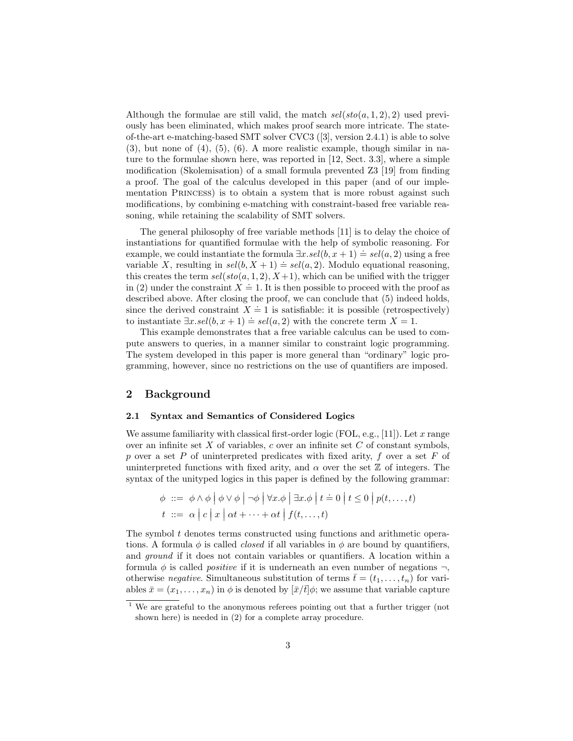Although the formulae are still valid, the match  $\text{sel}(\text{sto}(a, 1, 2), 2)$  used previously has been eliminated, which makes proof search more intricate. The stateof-the-art e-matching-based SMT solver CVC3 ([3], version 2.4.1) is able to solve  $(3)$ , but none of  $(4)$ ,  $(5)$ ,  $(6)$ . A more realistic example, though similar in nature to the formulae shown here, was reported in [12, Sect. 3.3], where a simple modification (Skolemisation) of a small formula prevented Z3 [19] from finding a proof. The goal of the calculus developed in this paper (and of our implementation PRINCESS) is to obtain a system that is more robust against such modifications, by combining e-matching with constraint-based free variable reasoning, while retaining the scalability of SMT solvers.

The general philosophy of free variable methods [11] is to delay the choice of instantiations for quantified formulae with the help of symbolic reasoning. For example, we could instantiate the formula  $\exists x.\text{sel}(b, x + 1) = \text{sel}(a, 2)$  using a free variable X, resulting in  $\text{sel}(b, X + 1) \doteq \text{sel}(a, 2)$ . Modulo equational reasoning, this creates the term  $\text{sel}(\text{sto}(a, 1, 2), X + 1)$ , which can be unified with the trigger in (2) under the constraint  $X = 1$ . It is then possible to proceed with the proof as described above. After closing the proof, we can conclude that (5) indeed holds, since the derived constraint  $X = 1$  is satisfiable: it is possible (retrospectively) to instantiate  $\exists x.\mathit{sel}(b, x + 1) \doteq \mathit{sel}(a, 2)$  with the concrete term  $X = 1$ .

This example demonstrates that a free variable calculus can be used to compute answers to queries, in a manner similar to constraint logic programming. The system developed in this paper is more general than "ordinary" logic programming, however, since no restrictions on the use of quantifiers are imposed.

## 2 Background

### 2.1 Syntax and Semantics of Considered Logics

We assume familiarity with classical first-order logic (FOL, e.g., [11]). Let x range over an infinite set  $X$  of variables,  $c$  over an infinite set  $C$  of constant symbols, p over a set P of uninterpreted predicates with fixed arity, f over a set F of uninterpreted functions with fixed arity, and  $\alpha$  over the set  $\mathbb Z$  of integers. The syntax of the unityped logics in this paper is defined by the following grammar:

$$
\begin{aligned}\n\phi &::=\phi \land \phi \mid \phi \lor \phi \mid \neg \phi \mid \forall x. \phi \mid \exists x. \phi \mid t = 0 \mid t \leq 0 \mid p(t, \dots, t) \\
t &::=\alpha \mid c \mid x \mid \alpha t + \dots + \alpha t \mid f(t, \dots, t)\n\end{aligned}
$$

The symbol  $t$  denotes terms constructed using functions and arithmetic operations. A formula  $\phi$  is called *closed* if all variables in  $\phi$  are bound by quantifiers, and ground if it does not contain variables or quantifiers. A location within a formula  $\phi$  is called *positive* if it is underneath an even number of negations  $\neg$ , otherwise negative. Simultaneous substitution of terms  $\bar{t} = (t_1, \ldots, t_n)$  for variables  $\bar{x} = (x_1, \ldots, x_n)$  in  $\phi$  is denoted by  $[\bar{x}/\bar{t}]\phi$ ; we assume that variable capture

<sup>1</sup> We are grateful to the anonymous referees pointing out that a further trigger (not shown here) is needed in (2) for a complete array procedure.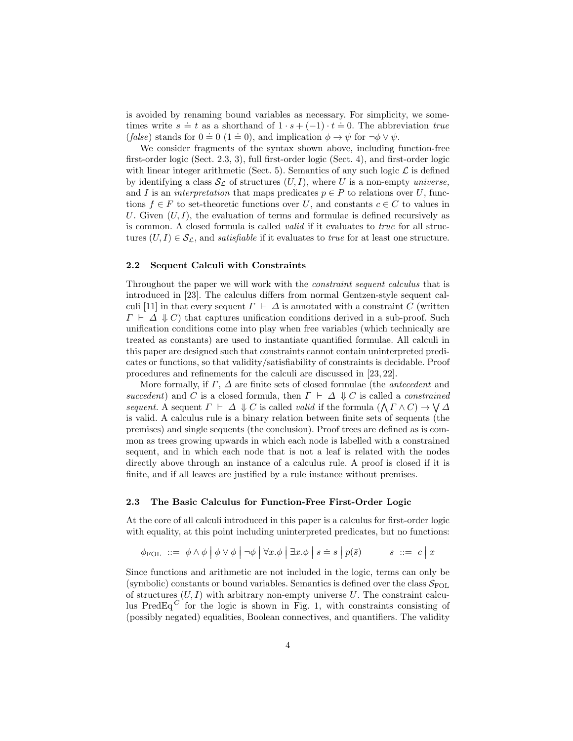is avoided by renaming bound variables as necessary. For simplicity, we sometimes write  $s = t$  as a shorthand of  $1 \cdot s + (-1) \cdot t = 0$ . The abbreviation *true* (false) stands for  $0 = 0$  ( $1 = 0$ ), and implication  $\phi \to \psi$  for  $\neg \phi \lor \psi$ .

We consider fragments of the syntax shown above, including function-free first-order logic (Sect. 2.3, 3), full first-order logic (Sect. 4), and first-order logic with linear integer arithmetic (Sect. 5). Semantics of any such logic  $\mathcal L$  is defined by identifying a class  $\mathcal{S}_{\mathcal{L}}$  of structures  $(U, I)$ , where U is a non-empty universe, and I is an interpretation that maps predicates  $p \in P$  to relations over U, functions  $f \in F$  to set-theoretic functions over U, and constants  $c \in C$  to values in U. Given  $(U, I)$ , the evaluation of terms and formulae is defined recursively as is common. A closed formula is called valid if it evaluates to true for all structures  $(U, I) \in S_{\mathcal{L}}$ , and satisfiable if it evaluates to true for at least one structure.

#### 2.2 Sequent Calculi with Constraints

Throughout the paper we will work with the constraint sequent calculus that is introduced in [23]. The calculus differs from normal Gentzen-style sequent calculi [11] in that every sequent  $\Gamma \vdash \Delta$  is annotated with a constraint C (written  $\Gamma \vdash \Delta \Downarrow C$ ) that captures unification conditions derived in a sub-proof. Such unification conditions come into play when free variables (which technically are treated as constants) are used to instantiate quantified formulae. All calculi in this paper are designed such that constraints cannot contain uninterpreted predicates or functions, so that validity/satisfiability of constraints is decidable. Proof procedures and refinements for the calculi are discussed in [23, 22].

More formally, if  $\Gamma$ ,  $\Delta$  are finite sets of closed formulae (the *antecedent* and succedent) and C is a closed formula, then  $\Gamma \vdash \Delta \Downarrow C$  is called a constrained sequent. A sequent  $\Gamma \vdash \Delta \Downarrow C$  is called valid if the formula  $(\Lambda \Gamma \wedge C) \rightarrow \Lambda \Delta$ is valid. A calculus rule is a binary relation between finite sets of sequents (the premises) and single sequents (the conclusion). Proof trees are defined as is common as trees growing upwards in which each node is labelled with a constrained sequent, and in which each node that is not a leaf is related with the nodes directly above through an instance of a calculus rule. A proof is closed if it is finite, and if all leaves are justified by a rule instance without premises.

#### 2.3 The Basic Calculus for Function-Free First-Order Logic

At the core of all calculi introduced in this paper is a calculus for first-order logic with equality, at this point including uninterpreted predicates, but no functions:

$$
\phi_{\text{FOL}} \ ::= \ \phi \land \phi \ | \ \phi \lor \phi \ | \ \neg \phi \ | \ \forall x. \phi \ | \ \exists x. \phi \ | \ s \doteq s \ | \ p(\bar{s}) \qquad s \ ::= \ c \ | \ x
$$

Since functions and arithmetic are not included in the logic, terms can only be (symbolic) constants or bound variables. Semantics is defined over the class  $S_{\text{FOL}}$ of structures  $(U, I)$  with arbitrary non-empty universe U. The constraint calculus PredEq<sup> $C$ </sup> for the logic is shown in Fig. 1, with constraints consisting of (possibly negated) equalities, Boolean connectives, and quantifiers. The validity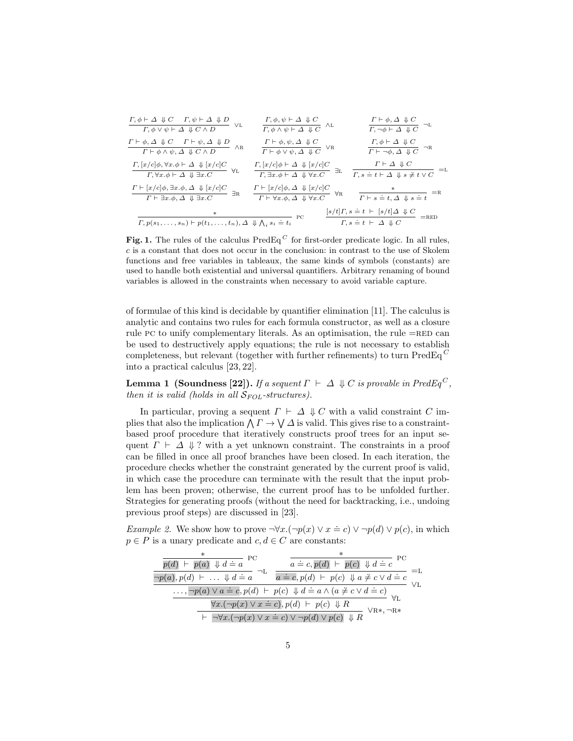| $\Gamma, \phi \vdash \Delta \Downarrow C$                              | $\Gamma, \psi \vdash \Delta \Downarrow D$                  | $\Gamma, \phi, \psi \vdash \Delta \Downarrow C$            | $\Gamma, \phi, \psi \vdash \Delta \Downarrow C$            | $\Gamma \vdash \phi, \Delta \Downarrow C$                                                                                                          |
|------------------------------------------------------------------------|------------------------------------------------------------|------------------------------------------------------------|------------------------------------------------------------|----------------------------------------------------------------------------------------------------------------------------------------------------|
| $\Gamma \vdash \phi, \Delta \Downarrow C$                              | $\Gamma \vdash \psi, \Delta \Downarrow C$                  | $\Gamma, \phi \land \psi \vdash \Delta \Downarrow C$       | $\Gamma \vdash \phi, \Delta \Downarrow C$                  |                                                                                                                                                    |
| $\Gamma \vdash \phi, \Delta \Downarrow C$                              | $\Gamma \vdash \psi, \Delta \Downarrow C$                  | $\Gamma \vdash \phi, \psi, \Delta \Downarrow C$            | $\Gamma, \neg \phi \vdash \Delta \Downarrow C$             | $\Gamma, \neg \phi \vdash \Delta \Downarrow C$                                                                                                     |
| $\Gamma \vdash \phi \land \psi, \Delta \Downarrow C \land D$           | $\Gamma \vdash \phi \lor \psi, \Delta \Downarrow C$        | $\Gamma, \phi \vdash \Delta \Downarrow C$                  | $\Gamma, \phi \vdash \Delta \Downarrow C$                  |                                                                                                                                                    |
| $\Gamma, [x/c] \phi, \forall x. \phi \vdash \Delta \Downarrow [x/c] C$ | $\gamma, \exists x. \phi \vdash \Delta \Downarrow [x/c] C$ | $\gamma, \exists x. \phi \vdash \Delta \Downarrow [x/c] C$ | $\gamma, \exists x. \phi \vdash \Delta \Downarrow [x/c] C$ |                                                                                                                                                    |
| $\Gamma \vdash [x/c] \phi, \exists x. \phi, \Delta \Downarrow [x/c] C$ | $\exists R$                                                | $\Gamma \vdash [x/c] \phi, \Delta \Downarrow [x/c] C$      | $\forall R$                                                | $\gamma, \phi \vdash \Delta \Downarrow [x \vdash \Delta \Downarrow [x \vdash \Delta \Downarrow [x \vdash \Delta \Downarrow [x \vdash \Delta \Down$ |

Fig. 1. The rules of the calculus  $PredEq^C$  for first-order predicate logic. In all rules,  $c$  is a constant that does not occur in the conclusion: in contrast to the use of Skolem functions and free variables in tableaux, the same kinds of symbols (constants) are used to handle both existential and universal quantifiers. Arbitrary renaming of bound variables is allowed in the constraints when necessary to avoid variable capture.

of formulae of this kind is decidable by quantifier elimination [11]. The calculus is analytic and contains two rules for each formula constructor, as well as a closure rule PC to unify complementary literals. As an optimisation, the rule  $=$ RED can be used to destructively apply equations; the rule is not necessary to establish completeness, but relevant (together with further refinements) to turn  $PredEq<sup>C</sup>$ into a practical calculus [23, 22].

**Lemma 1 (Soundness [22]).** If a sequent  $\Gamma \vdash \Delta \Downarrow C$  is provable in PredEq<sup>C</sup>, then it is valid (holds in all  $S_{FOL}$ -structures).

In particular, proving a sequent  $\Gamma \vdash \Delta \Downarrow C$  with a valid constraint C implies that also the implication  $\bigwedge \Gamma \to \bigvee \Delta$  is valid. This gives rise to a constraintbased proof procedure that iteratively constructs proof trees for an input sequent  $\Gamma \vdash \Delta \Downarrow ?$  with a yet unknown constraint. The constraints in a proof can be filled in once all proof branches have been closed. In each iteration, the procedure checks whether the constraint generated by the current proof is valid, in which case the procedure can terminate with the result that the input problem has been proven; otherwise, the current proof has to be unfolded further. Strategies for generating proofs (without the need for backtracking, i.e., undoing previous proof steps) are discussed in [23].

*Example 2.* We show how to prove  $\neg \forall x.(\neg p(x) \lor x = c) \lor \neg p(d) \lor p(c)$ , in which  $p \in P$  is a unary predicate and  $c, d \in C$  are constants:

$$
\frac{\stackrel{*}{p(d) \models p(a) \Downarrow d \stackrel{.}{=} a} \stackrel{\text{PC}}{=} \frac{\stackrel{*}{a \stackrel{.}{=} c, p(d) \models p(c) \Downarrow d \stackrel{.}{=} c} \stackrel{\text{PC}}{=} \text{PC}}{\stackrel{\neg p(a), p(d) \models \dots \Downarrow d \stackrel{.}{=} a} \stackrel{\neg L}{=} \frac{\stackrel{*}{a \stackrel{.}{=} c, p(d) \models p(c) \Downarrow d \stackrel{.}{=} c} \stackrel{\text{PC}}{=} \text{LC}}{\stackrel{\dots, \neg p(a) \vee a \stackrel{.}{=} c, p(d) \models p(c) \Downarrow d \stackrel{.}{=} a \wedge (a \neq c \vee d \stackrel{.}{=} c)}{\stackrel{\forall L}{\forall x. (\neg p(x) \vee x \stackrel{.}{=} c), p(d) \models p(c) \Downarrow R} \stackrel{\text{C}}{=} \text{CL}}}
$$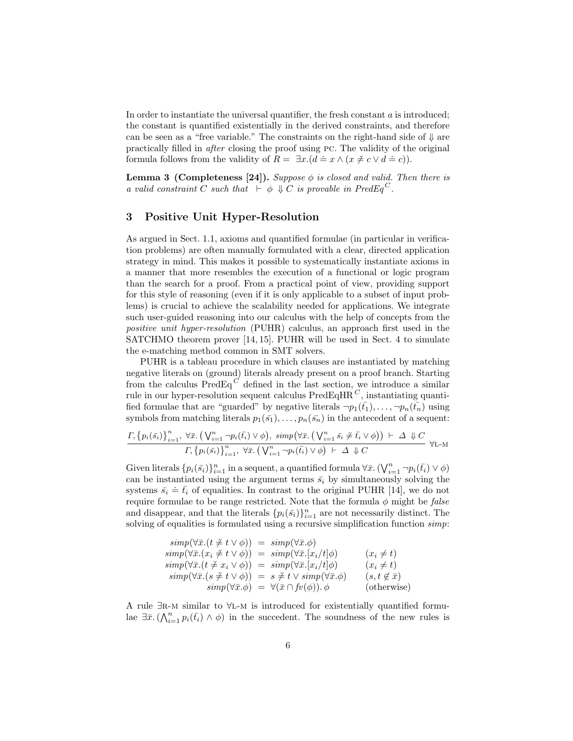In order to instantiate the universal quantifier, the fresh constant  $a$  is introduced; the constant is quantified existentially in the derived constraints, and therefore can be seen as a "free variable." The constraints on the right-hand side of  $\Downarrow$  are practically filled in after closing the proof using pc. The validity of the original formula follows from the validity of  $R = \exists x. (d = x \land (x \neq c \lor d = c)).$ 

**Lemma 3 (Completeness [24]).** Suppose  $\phi$  is closed and valid. Then there is a valid constraint C such that  $\vdash \phi \Downarrow C$  is provable in PredEq<sup>C</sup>.

## 3 Positive Unit Hyper-Resolution

As argued in Sect. 1.1, axioms and quantified formulae (in particular in verification problems) are often manually formulated with a clear, directed application strategy in mind. This makes it possible to systematically instantiate axioms in a manner that more resembles the execution of a functional or logic program than the search for a proof. From a practical point of view, providing support for this style of reasoning (even if it is only applicable to a subset of input problems) is crucial to achieve the scalability needed for applications. We integrate such user-guided reasoning into our calculus with the help of concepts from the positive unit hyper-resolution (PUHR) calculus, an approach first used in the SATCHMO theorem prover [14, 15]. PUHR will be used in Sect. 4 to simulate the e-matching method common in SMT solvers.

PUHR is a tableau procedure in which clauses are instantiated by matching negative literals on (ground) literals already present on a proof branch. Starting from the calculus  $PredEq^{C}$  defined in the last section, we introduce a similar rule in our hyper-resolution sequent calculus  $PredEqHR^C$ , instantiating quantified formulae that are "guarded" by negative literals  $\neg p_1(\bar{t}_1), \dots, \neg p_n(\bar{t}_n)$  using symbols from matching literals  $p_1(\bar{s_1}), \ldots, p_n(\bar{s_n})$  in the antecedent of a sequent:

$$
\frac{\Gamma,\left\{p_i(\bar{s_i})\right\}_{i=1}^n, \ \forall \bar{x}.\left(\bigvee_{i=1}^n \neg p_i(\bar{t_i}) \vee \phi\right), \ \operatorname{simp}\left(\forall \bar{x}.\left(\bigvee_{i=1}^n \bar{s_i} \neq \bar{t_i} \vee \phi\right)\right) \ \vdash \ \Delta \ \Downarrow C}{\Gamma,\left\{p_i(\bar{s_i})\right\}_{i=1}^n, \ \forall \bar{x}.\left(\bigvee_{i=1}^n \neg p_i(\bar{t_i}) \vee \phi\right) \ \vdash \ \Delta \ \Downarrow C} \ \ \forall L-M
$$

Given literals  $\{p_i(\bar{s_i})\}_{i=1}^n$  in a sequent, a quantified formula  $\forall \bar{x}$ .  $(\bigvee_{i=1}^n \neg p_i(\bar{t_i}) \vee \phi)$ can be instantiated using the argument terms  $\bar{s_i}$  by simultaneously solving the systems  $\bar{s}_i \doteq \bar{t}_i$  of equalities. In contrast to the original PUHR [14], we do not require formulae to be range restricted. Note that the formula  $\phi$  might be *false* and disappear, and that the literals  $\{p_i(\bar{s_i})\}_{i=1}^n$  are not necessarily distinct. The solving of equalities is formulated using a recursive simplification function  $simp$ :

$$
simp(\forall \bar{x}. (t \neq t \vee \phi)) = simp(\forall \bar{x}. \phi)
$$
  
\n
$$
simp(\forall \bar{x}. (x_i \neq t \vee \phi)) = simp(\forall \bar{x}. [x_i/t] \phi)
$$
  
\n
$$
simp(\forall \bar{x}. (t \neq x_i \vee \phi)) = simp(\forall \bar{x}. [x_i/t] \phi)
$$
  
\n
$$
simp(\forall \bar{x}. (s \neq t \vee \phi)) = s \neq t \vee simp(\forall \bar{x}. \phi)
$$
  
\n
$$
simp(\forall \bar{x}. \phi) = \forall (\bar{x} \cap fv(\phi)). \phi
$$
  
\n(otherwise)

A rule ∃R-M similar to ∀L-M is introduced for existentially quantified formulae  $\exists \bar{x}$ .  $(\bigwedge_{i=1}^{n} p_i(\bar{t}_i) \wedge \phi)$  in the succedent. The soundness of the new rules is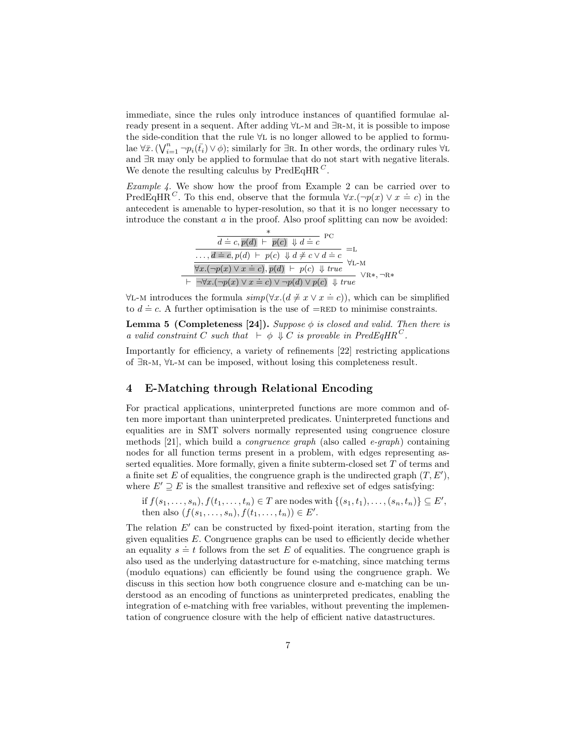immediate, since the rules only introduce instances of quantified formulae already present in a sequent. After adding  $\forall L$ -M and  $\exists R$ -M, it is possible to impose the side-condition that the rule ∀l is no longer allowed to be applied to formulae  $\forall \bar{x}$ .  $(\bigvee_{i=1}^{n} \neg p_i(\bar{t}_i) \vee \phi)$ ; similarly for ∃R. In other words, the ordinary rules  $\forall$ L and ∃r may only be applied to formulae that do not start with negative literals. We denote the resulting calculus by  $PredEqHR^C$ .

Example 4. We show how the proof from Example 2 can be carried over to PredEqHR<sup>C</sup>. To this end, observe that the formula  $\forall x.(\neg p(x) \lor x \doteq c)$  in the antecedent is amenable to hyper-resolution, so that it is no longer necessary to introduce the constant  $\alpha$  in the proof. Also proof splitting can now be avoided:

$$
\frac{\overline{d} \doteq c, p(d) \vdash p(c) \Downarrow d \doteq c}{}^{\text{PC}}\n..., \underline{d} \doteq c, p(d) \vdash p(c) \Downarrow d \neq c \lor d \doteq c} = L\n\overline{\forall x.(\neg p(x) \lor x = c), p(d) \vdash p(c) \Downarrow true}{}^{\forall L-M\n\vdash \neg \forall x.(\neg p(x) \lor x = c) \lor \neg p(d) \lor p(c) \Downarrow true}{}^{\forall R*, \neg R*}
$$

 $\forall$ L-M introduces the formula  $simp(\forall x.(d \neq x \lor x = c))$ , which can be simplified to  $d \doteq c$ . A further optimisation is the use of  $=$ RED to minimise constraints.

**Lemma 5 (Completeness [24]).** Suppose  $\phi$  is closed and valid. Then there is a valid constraint C such that  $\vdash \phi \Downarrow C$  is provable in PredEqHR<sup>C</sup>.

Importantly for efficiency, a variety of refinements [22] restricting applications of ∃r-m, ∀l-m can be imposed, without losing this completeness result.

## 4 E-Matching through Relational Encoding

For practical applications, uninterpreted functions are more common and often more important than uninterpreted predicates. Uninterpreted functions and equalities are in SMT solvers normally represented using congruence closure methods [21], which build a *congruence graph* (also called *e-graph*) containing nodes for all function terms present in a problem, with edges representing asserted equalities. More formally, given a finite subterm-closed set T of terms and a finite set E of equalities, the congruence graph is the undirected graph  $(T, E'),$ where  $E' \supseteq E$  is the smallest transitive and reflexive set of edges satisfying:

if  $f(s_1, ..., s_n)$ ,  $f(t_1, ..., t_n)$  ∈ T are nodes with  $\{(s_1, t_1), ..., (s_n, t_n)\}$  ⊆ E', then also  $(f(s_1,...,s_n), f(t_1,...,t_n)) \in E'.$ 

The relation  $E'$  can be constructed by fixed-point iteration, starting from the given equalities E. Congruence graphs can be used to efficiently decide whether an equality  $s = t$  follows from the set E of equalities. The congruence graph is also used as the underlying datastructure for e-matching, since matching terms (modulo equations) can efficiently be found using the congruence graph. We discuss in this section how both congruence closure and e-matching can be understood as an encoding of functions as uninterpreted predicates, enabling the integration of e-matching with free variables, without preventing the implementation of congruence closure with the help of efficient native datastructures.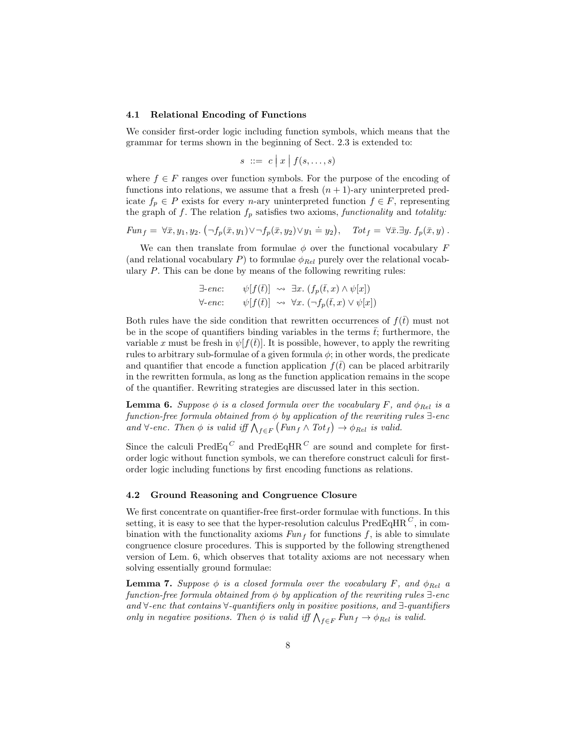#### 4.1 Relational Encoding of Functions

We consider first-order logic including function symbols, which means that the grammar for terms shown in the beginning of Sect. 2.3 is extended to:

$$
s \ ::= \ c \mid x \mid f(s, \ldots, s)
$$

where  $f \in F$  ranges over function symbols. For the purpose of the encoding of functions into relations, we assume that a fresh  $(n + 1)$ -ary uninterpreted predicate  $f_p \in P$  exists for every *n*-ary uninterpreted function  $f \in F$ , representing the graph of f. The relation  $f_p$  satisfies two axioms, functionality and totality:

$$
Fun_f = \forall \bar{x}, y_1, y_2. (\neg f_p(\bar{x}, y_1) \vee \neg f_p(\bar{x}, y_2) \vee y_1 \doteq y_2), \quad Tot_f = \forall \bar{x}. \exists y. f_p(\bar{x}, y).
$$

We can then translate from formulae  $\phi$  over the functional vocabulary F (and relational vocabulary P) to formulae  $\phi_{Rel}$  purely over the relational vocabulary  $P$ . This can be done by means of the following rewriting rules:

$$
\exists\text{-}enc:\qquad \psi[f(\bar{t})]\ \leadsto\ \exists x.\ (f_p(\bar{t},x)\land\psi[x])\forall\text{-}enc:\qquad \psi[f(\bar{t})]\ \leadsto\ \forall x.\ (\neg f_p(\bar{t},x)\lor\psi[x])
$$

Both rules have the side condition that rewritten occurrences of  $f(\bar{t})$  must not be in the scope of quantifiers binding variables in the terms  $\bar{t}$ ; furthermore, the variable x must be fresh in  $\psi[f(\bar{t})]$ . It is possible, however, to apply the rewriting rules to arbitrary sub-formulae of a given formula  $\phi$ ; in other words, the predicate and quantifier that encode a function application  $f(\bar{t})$  can be placed arbitrarily in the rewritten formula, as long as the function application remains in the scope of the quantifier. Rewriting strategies are discussed later in this section.

**Lemma 6.** Suppose  $\phi$  is a closed formula over the vocabulary F, and  $\phi_{Rel}$  is a function-free formula obtained from  $\phi$  by application of the rewriting rules  $\exists$ -enc and  $\forall$ -enc. Then  $\phi$  is valid iff  $\bigwedge_{f \in F} (Fun_f \wedge Tot_f) \rightarrow \phi_{Rel}$  is valid.

Since the calculi  $\text{PredEq}^C$  and  $\text{PredEqHR}^C$  are sound and complete for firstorder logic without function symbols, we can therefore construct calculi for firstorder logic including functions by first encoding functions as relations.

#### 4.2 Ground Reasoning and Congruence Closure

We first concentrate on quantifier-free first-order formulae with functions. In this setting, it is easy to see that the hyper-resolution calculus  $PredEqHR^C$ , in combination with the functionality axioms  $Fun_f$  for functions f, is able to simulate congruence closure procedures. This is supported by the following strengthened version of Lem. 6, which observes that totality axioms are not necessary when solving essentially ground formulae:

**Lemma 7.** Suppose  $\phi$  is a closed formula over the vocabulary F, and  $\phi_{Rel}$  a function-free formula obtained from  $\phi$  by application of the rewriting rules  $\exists$ -enc and  $\forall$ -enc that contains  $\forall$ -quantifiers only in positive positions, and  $\exists$ -quantifiers only in negative positions. Then  $\phi$  is valid iff  $\bigwedge_{f \in F} Fun_f \to \phi_{Rel}$  is valid.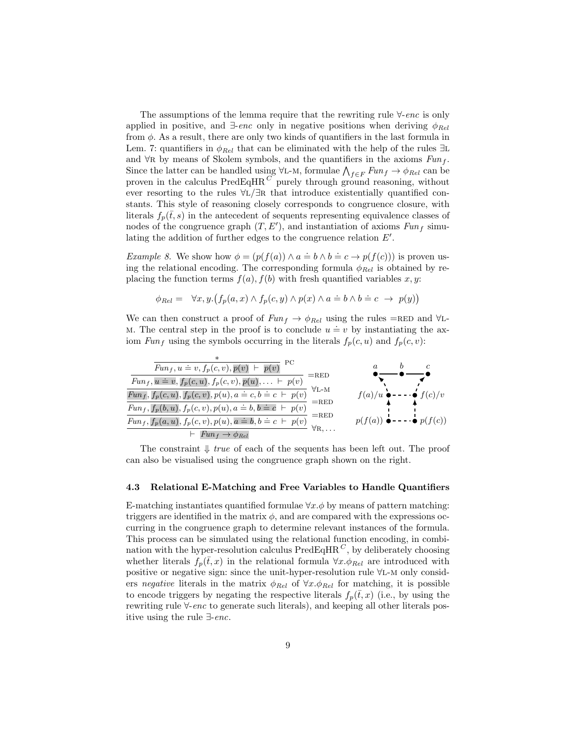The assumptions of the lemma require that the rewriting rule  $\forall$ -enc is only applied in positive, and  $\exists$ -enc only in negative positions when deriving  $\phi_{Rel}$ from  $\phi$ . As a result, there are only two kinds of quantifiers in the last formula in Lem. 7: quantifiers in  $\phi_{Rel}$  that can be eliminated with the help of the rules  $\exists$ L and  $\forall R$  by means of Skolem symbols, and the quantifiers in the axioms  $Fun_f$ . Since the latter can be handled using  $\forall L-M$ , formulae  $\bigwedge_{f\in F} Fun_f \to \phi_{Rel}$  can be proven in the calculus  $\text{PredEqHR}^C$  purely through ground reasoning, without ever resorting to the rules  $\forall L/\exists R$  that introduce existentially quantified constants. This style of reasoning closely corresponds to congruence closure, with literals  $f_p(\bar{t}, s)$  in the antecedent of sequents representing equivalence classes of nodes of the congruence graph  $(T, E')$ , and instantiation of axioms  $Fun_f$  simulating the addition of further edges to the congruence relation  $E'$ .

*Example 8*. We show how  $\phi = (p(f(a)) \land a = b \land b = c \rightarrow p(f(c)))$  is proven using the relational encoding. The corresponding formula  $\phi_{Rel}$  is obtained by replacing the function terms  $f(a)$ ,  $f(b)$  with fresh quantified variables x, y:

$$
\phi_{Rel} = \forall x, y. (f_p(a, x) \land f_p(c, y) \land p(x) \land a = b \land b = c \rightarrow p(y))
$$

We can then construct a proof of  $Fun_f \to \phi_{Rel}$  using the rules =RED and  $\forall L$ m. The central step in the proof is to conclude  $u = v$  by instantiating the axiom  $Fun_f$  using the symbols occurring in the literals  $f_p(c, u)$  and  $f_p(c, v)$ :

| $Fun_f, u \doteq v, f_p(c, v), p(v) \vdash p(v)$                                                                                                                                                                                                                                                                                                                                                                                                                     |                                               |
|----------------------------------------------------------------------------------------------------------------------------------------------------------------------------------------------------------------------------------------------------------------------------------------------------------------------------------------------------------------------------------------------------------------------------------------------------------------------|-----------------------------------------------|
| $=$ RED<br>$\begin{array}{c} \hline \hline \text{Fun}_f, u = v, f_p(c, u), f_p(c, v), p(u), \ldots \vdash p(v) \\ \hline \text{Fun}_f, f_p(c, u), f_p(c, v), p(u), a = c, b = c \vdash p(v) \\ \hline \text{Fun}_f, f_p(b, u), f_p(c, v), p(u), a = b, b = c \vdash p(v) \\ \hline \text{Fun}_f, f_p(a, u), f_p(c, v), p(u), a = b, b = c \vdash p(v) \\ \hline \text{Fun}_f, f_p(a, u), f_p(c, v), p(u), a = b, b = c \vdash p(v) \\ \hline \text{Fun}_f, f_p(a, u$ |                                               |
|                                                                                                                                                                                                                                                                                                                                                                                                                                                                      | $f(a)/u$ $\bullet$ - - - $\bullet$ $f(c)/v$   |
|                                                                                                                                                                                                                                                                                                                                                                                                                                                                      |                                               |
|                                                                                                                                                                                                                                                                                                                                                                                                                                                                      | $p(f(a))$ $\bullet$ - - - $\bullet$ $p(f(c))$ |
| $\vdash$ Fun <sub>f</sub> $\rightarrow$ $\phi_{Rel}$                                                                                                                                                                                                                                                                                                                                                                                                                 |                                               |

The constraint  $\Downarrow$  true of each of the sequents has been left out. The proof can also be visualised using the congruence graph shown on the right.

### 4.3 Relational E-Matching and Free Variables to Handle Quantifiers

E-matching instantiates quantified formulae  $\forall x.\phi$  by means of pattern matching: triggers are identified in the matrix  $\phi$ , and are compared with the expressions occurring in the congruence graph to determine relevant instances of the formula. This process can be simulated using the relational function encoding, in combination with the hyper-resolution calculus  $PredEqHR^C$ , by deliberately choosing whether literals  $f_p(\bar{t}, x)$  in the relational formula  $\forall x. \phi_{Rel}$  are introduced with positive or negative sign: since the unit-hyper-resolution rule ∀l-m only considers negative literals in the matrix  $\phi_{Rel}$  of  $\forall x.\phi_{Rel}$  for matching, it is possible to encode triggers by negating the respective literals  $f_p(\bar{t}, x)$  (i.e., by using the rewriting rule ∀-enc to generate such literals), and keeping all other literals positive using the rule ∃-enc.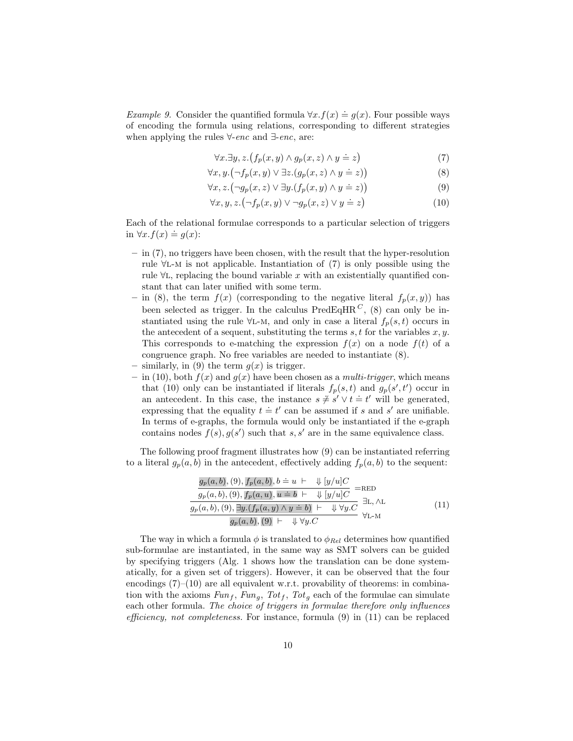*Example 9.* Consider the quantified formula  $\forall x . f(x) \doteq g(x)$ . Four possible ways of encoding the formula using relations, corresponding to different strategies when applying the rules  $\forall$ -enc and  $\exists$ -enc, are:

$$
\forall x. \exists y, z. (f_p(x, y) \land g_p(x, z) \land y \doteq z)
$$
\n
$$
(7)
$$

$$
\forall x, y. (\neg f_p(x, y) \lor \exists z. (g_p(x, z) \land y \doteq z))
$$
\n(8)

$$
\forall x, z. (\neg g_p(x, z) \lor \exists y. (f_p(x, y) \land y \doteq z))
$$
\n(9)

$$
\forall x, y, z. (\neg f_p(x, y) \lor \neg g_p(x, z) \lor y \doteq z)
$$
\n
$$
(10)
$$

Each of the relational formulae corresponds to a particular selection of triggers  $\lim_{x \to f(x)} \xi(x) = g(x)$ :

- $-$  in (7), no triggers have been chosen, with the result that the hyper-resolution rule  $\forall L$ -M is not applicable. Instantiation of (7) is only possible using the rule  $\forall L$ , replacing the bound variable x with an existentially quantified constant that can later unified with some term.
- in (8), the term  $f(x)$  (corresponding to the negative literal  $f_p(x, y)$ ) has been selected as trigger. In the calculus  $PredEqHR^C$ , (8) can only be instantiated using the rule  $\forall L$ -M, and only in case a literal  $f_p(s, t)$  occurs in the antecedent of a sequent, substituting the terms  $s, t$  for the variables  $x, y$ . This corresponds to e-matching the expression  $f(x)$  on a node  $f(t)$  of a congruence graph. No free variables are needed to instantiate (8).
- similarly, in (9) the term  $q(x)$  is trigger.
- in (10), both  $f(x)$  and  $g(x)$  have been chosen as a *multi-trigger*, which means that (10) only can be instantiated if literals  $f_p(s,t)$  and  $g_p(s',t')$  occur in an antecedent. In this case, the instance  $s \neq s' \vee t = t'$  will be generated, expressing that the equality  $t = t'$  can be assumed if s and s' are unifiable. In terms of e-graphs, the formula would only be instantiated if the e-graph contains nodes  $f(s), g(s')$  such that s, s' are in the same equivalence class.

The following proof fragment illustrates how (9) can be instantiated referring to a literal  $g_p(a, b)$  in the antecedent, effectively adding  $f_p(a, b)$  to the sequent:

$$
\frac{g_p(a,b),(9), f_p(a,b), b \doteq u \vdash \Downarrow [y/u]C}{g_p(a,b),(9), f_p(a,u), u \doteq b \vdash \Downarrow [y/u]C} = \text{RED}
$$
\n
$$
\frac{g_p(a,b),(9), \exists y.(f_p(a,y) \land y \doteq b) \vdash \Downarrow \forall y.C} {\exists \text{L}, \land \text{L}}
$$
\n
$$
\frac{g_p(a,b),(9) \vdash \Downarrow \forall y.C}{g_p(a,b),(9) \vdash \Downarrow \forall y.C} \forall \text{L-M}
$$
\n(11)

The way in which a formula  $\phi$  is translated to  $\phi_{Rel}$  determines how quantified sub-formulae are instantiated, in the same way as SMT solvers can be guided by specifying triggers (Alg. 1 shows how the translation can be done systematically, for a given set of triggers). However, it can be observed that the four encodings  $(7)–(10)$  are all equivalent w.r.t. provability of theorems: in combination with the axioms  $Fun_f$ ,  $Fun_g$ ,  $Tot_f$ ,  $Tot_g$  each of the formulae can simulate each other formula. The choice of triggers in formulae therefore only influences efficiency, not completeness. For instance, formula (9) in (11) can be replaced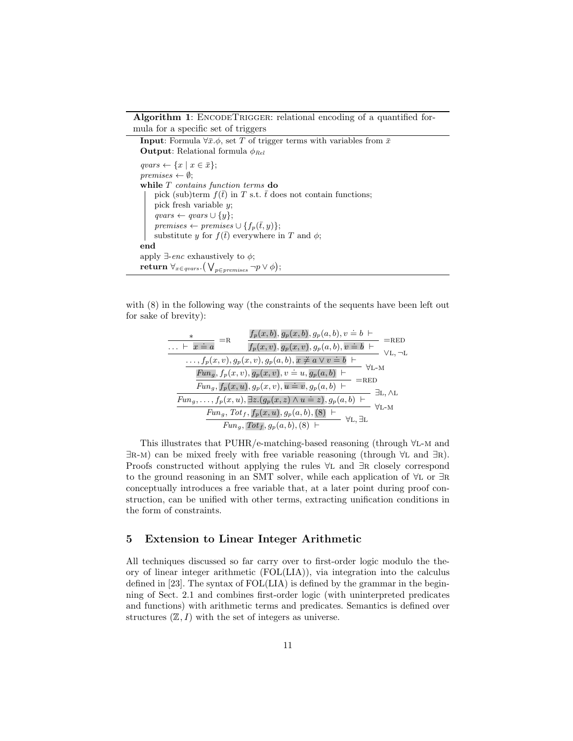Algorithm 1: ENCODETRIGGER: relational encoding of a quantified formula for a specific set of triggers

```
Input: Formula \forall \bar{x}.\phi, set T of trigger terms with variables from \bar{x}Output: Relational formula \phi_{Rel}quars \leftarrow \{x \mid x \in \bar{x}\};premises \leftarrow \emptyset;while T contains function terms do
     pick (sub)term f(\bar{t}) in T s.t. \bar{t} does not contain functions;
     pick fresh variable y;
     quars \leftarrow quars \cup \{y\};premises \leftarrow premises \cup \{f_p(\bar{t}, y)\};substitute y for f(\bar{t}) everywhere in T and \phi;
end
apply \exists-enc exhaustively to \phi;
\textbf{return} \; \forall_{x \in qvars}. \big(\, \bigvee_{p \in premises} \neg p \vee \phi \big);
```
with  $(8)$  in the following way (the constraints of the sequents have been left out for sake of brevity):

$$
\frac{\ast}{\cdots + x \doteq a} = R \qquad \frac{f_p(x, b), g_p(x, b), g_p(a, b), v \doteq b \vdash}{f_p(x, v), g_p(x, v), g_p(a, b), v \doteq b \vdash} = \text{RED}
$$
\n
$$
\frac{\cdots, f_p(x, v), g_p(x, v), g_p(a, b), x \neq a \lor v \neq b \vdash}{\text{Fun}_g, f_p(x, v), g_p(x, v), v \neq u, g_p(a, b) \vdash} \Rightarrow \forall L-M
$$
\n
$$
\frac{Fun_g, f_p(x, u), g_p(x, v), u \neq v, g_p(a, b) \vdash}{\text{Fun}_g, \cdots, f_p(x, u), g_p(x, v), u \neq z), g_p(a, b) \vdash} \exists L, \land L
$$
\n
$$
\frac{Fun_g, \cdots, f_p(x, u), \exists z. (g_p(x, z) \land u \neq z), g_p(a, b) \vdash}{\text{Fun}_g, \text{Tot}_f, f_p(x, u), g_p(a, b), (8) \vdash} \forall L, \exists L
$$

This illustrates that PUHR/e-matching-based reasoning (through ∀l-m and  $\exists R-M$ ) can be mixed freely with free variable reasoning (through  $\forall L$  and  $\exists R$ ). Proofs constructed without applying the rules ∀L and ∃R closely correspond to the ground reasoning in an SMT solver, while each application of ∀l or ∃r conceptually introduces a free variable that, at a later point during proof construction, can be unified with other terms, extracting unification conditions in the form of constraints.

## 5 Extension to Linear Integer Arithmetic

All techniques discussed so far carry over to first-order logic modulo the theory of linear integer arithmetic (FOL(LIA)), via integration into the calculus defined in [23]. The syntax of FOL(LIA) is defined by the grammar in the beginning of Sect. 2.1 and combines first-order logic (with uninterpreted predicates and functions) with arithmetic terms and predicates. Semantics is defined over structures  $(\mathbb{Z}, I)$  with the set of integers as universe.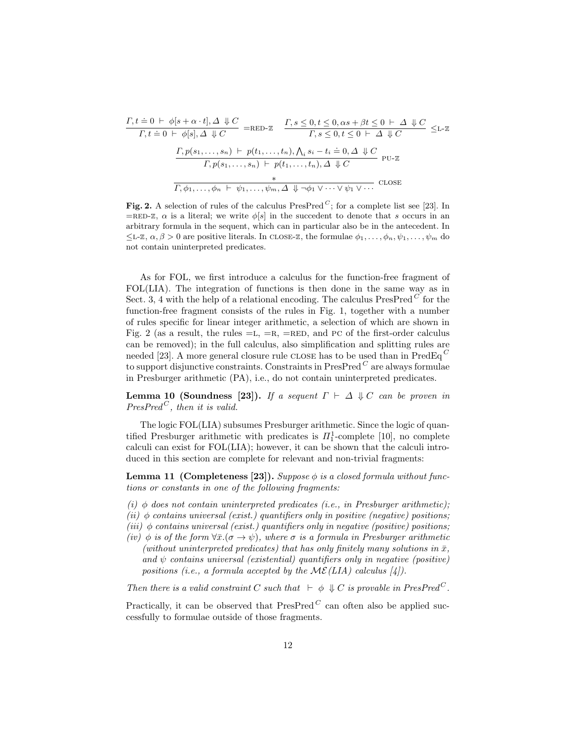$$
\frac{\Gamma, t \doteq 0 \ \vdash \ \phi[s + \alpha \cdot t], \Delta \ \Downarrow C}{\Gamma, t \doteq 0 \ \vdash \ \phi[s], \Delta \ \Downarrow C} = \text{RED-Z} \quad \frac{\Gamma, s \leq 0, t \leq 0, \alpha s + \beta t \leq 0 \ \vdash \ \Delta \ \Downarrow C}{\Gamma, s \leq 0, t \leq 0 \ \vdash \ \Delta \ \Downarrow C} \leq \text{L-Z}
$$
\n
$$
\frac{\Gamma, p(s_1, \ldots, s_n) \ \vdash \ p(t_1, \ldots, t_n), \Delta_i s_i - t_i \doteq 0, \Delta \ \Downarrow C}{\Gamma, p(s_1, \ldots, s_n) \ \vdash \ p(t_1, \ldots, t_n), \Delta \ \Downarrow C} \quad \text{PU-Z}
$$
\n
$$
\frac{*}{\Gamma, \phi_1, \ldots, \phi_n \ \vdash \ \psi_1, \ldots, \psi_m, \Delta \ \Downarrow \ \neg \phi_1 \ \vee \cdots \ \vee \psi_1 \ \vee \cdots} \quad \text{CLOSE}
$$

Fig. 2. A selection of rules of the calculus PresPred<sup> $C$ </sup>; for a complete list see [23]. In =RED-Z,  $\alpha$  is a literal; we write  $\phi[s]$  in the succedent to denote that s occurs in an arbitrary formula in the sequent, which can in particular also be in the antecedent. In  $\leq L-\mathbb{Z}, \alpha, \beta > 0$  are positive literals. In CLOSE-Z, the formulae  $\phi_1, \ldots, \phi_n, \psi_1, \ldots, \psi_m$  do not contain uninterpreted predicates.

As for FOL, we first introduce a calculus for the function-free fragment of FOL(LIA). The integration of functions is then done in the same way as in Sect. 3, 4 with the help of a relational encoding. The calculus PresPred  $C$  for the function-free fragment consists of the rules in Fig. 1, together with a number of rules specific for linear integer arithmetic, a selection of which are shown in Fig. 2 (as a result, the rules  $=L$ ,  $=R$ ,  $=$ RED, and PC of the first-order calculus can be removed); in the full calculus, also simplification and splitting rules are needed [23]. A more general closure rule CLOSE has to be used than in  $PredEq<sup>C</sup>$ to support disjunctive constraints. Constraints in PresPred  $C$  are always formulae in Presburger arithmetic (PA), i.e., do not contain uninterpreted predicates.

**Lemma 10 (Soundness [23]).** If a sequent  $\Gamma \vdash \Delta \Downarrow C$  can be proven in  $PresPred<sup>C</sup>$ , then it is valid.

The logic FOL(LIA) subsumes Presburger arithmetic. Since the logic of quantified Presburger arithmetic with predicates is  $\Pi_1^1$ -complete [10], no complete calculi can exist for FOL(LIA); however, it can be shown that the calculi introduced in this section are complete for relevant and non-trivial fragments:

**Lemma 11 (Completeness [23]).** Suppose  $\phi$  is a closed formula without functions or constants in one of the following fragments:

- (i)  $\phi$  does not contain uninterpreted predicates (i.e., in Presburger arithmetic);
- (ii)  $\phi$  contains universal (exist.) quantifiers only in positive (negative) positions;
- (iii)  $\phi$  contains universal (exist.) quantifiers only in negative (positive) positions;
- (iv)  $\phi$  is of the form  $\forall \bar{x}.(\sigma \rightarrow \psi)$ , where  $\sigma$  is a formula in Presburger arithmetic (without uninterpreted predicates) that has only finitely many solutions in  $\bar{x}$ , and  $\psi$  contains universal (existential) quantifiers only in negative (positive) positions (i.e., a formula accepted by the  $M\mathcal{E}(LIA)$  calculus [4]).

Then there is a valid constraint C such that  $\vdash \phi \Downarrow C$  is provable in PresPred<sup>C</sup>.

Practically, it can be observed that  $PresPred^C$  can often also be applied successfully to formulae outside of those fragments.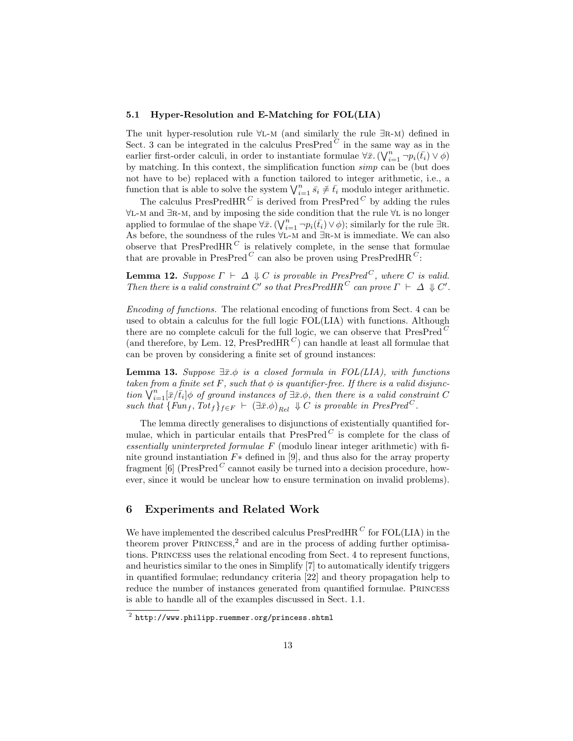### 5.1 Hyper-Resolution and E-Matching for FOL(LIA)

The unit hyper-resolution rule ∀l-m (and similarly the rule ∃r-m) defined in Sect. 3 can be integrated in the calculus  $PresPred^C$  in the same way as in the earlier first-order calculi, in order to instantiate formulae  $\forall \bar{x}$ .  $(\bigvee_{i=1}^{n} \neg p_i(\bar{t}_i) \vee \phi)$ by matching. In this context, the simplification function simp can be (but does not have to be) replaced with a function tailored to integer arithmetic, i.e., a function that is able to solve the system  $\bigvee_{i=1}^n \bar{s}_i \neq \bar{t}_i$  modulo integer arithmetic.

The calculus PresPredHR<sup>C</sup> is derived from PresPred<sup>C</sup> by adding the rules ∀l-m and ∃r-m, and by imposing the side condition that the rule ∀l is no longer applied to formulae of the shape  $\forall \bar{x}$ .  $(\bigvee_{i=1}^{n} \neg p_i(\bar{t}_i) \vee \phi)$ ; similarly for the rule  $\exists R$ . As before, the soundness of the rules ∀l-m and ∃r-m is immediate. We can also observe that  $PresPredHR^C$  is relatively complete, in the sense that formulae that are provable in PresPred  $C$  can also be proven using PresPredHR  $C$ :

**Lemma 12.** Suppose  $\Gamma \vdash \Delta \Downarrow C$  is provable in PresPred<sup>C</sup>, where C is valid. Then there is a valid constraint C' so that PresPredHR<sup>C</sup> can prove  $\Gamma \vdash \Delta \Downarrow C'$ .

Encoding of functions. The relational encoding of functions from Sect. 4 can be used to obtain a calculus for the full logic FOL(LIA) with functions. Although there are no complete calculi for the full logic, we can observe that  $PresPred^C$ (and therefore, by Lem. 12, PresPredHR<sup>C</sup>) can handle at least all formulae that can be proven by considering a finite set of ground instances:

**Lemma 13.** Suppose  $\exists \bar{x}.\phi$  is a closed formula in FOL(LIA), with functions taken from a finite set F, such that  $\phi$  is quantifier-free. If there is a valid disjunction  $\bigvee_{i=1}^{n} [\bar{x}/\bar{t}_{i}] \phi$  of ground instances of  $\exists \bar{x}.\phi$ , then there is a valid constraint C such that  $\{Fun_f, Tot_f\}_{f \in F} \vdash (\exists \bar{x}.\phi)_{Rel} \Downarrow C$  is provable in  $PresPred^C$ .

The lemma directly generalises to disjunctions of existentially quantified formulae, which in particular entails that  $PresPred^C$  is complete for the class of essentially uninterpreted formulae  $F$  (modulo linear integer arithmetic) with finite ground instantiation F∗ defined in [9], and thus also for the array property fragment  $[6]$  (PresPred<sup>C</sup> cannot easily be turned into a decision procedure, however, since it would be unclear how to ensure termination on invalid problems).

## 6 Experiments and Related Work

We have implemented the described calculus PresPredHR<sup>C</sup> for FOL(LIA) in the theorem prover PRINCESS,<sup>2</sup> and are in the process of adding further optimisations. Princess uses the relational encoding from Sect. 4 to represent functions, and heuristics similar to the ones in Simplify [7] to automatically identify triggers in quantified formulae; redundancy criteria [22] and theory propagation help to reduce the number of instances generated from quantified formulae. Princess is able to handle all of the examples discussed in Sect. 1.1.

 $^2$  http://www.philipp.ruemmer.org/princess.shtml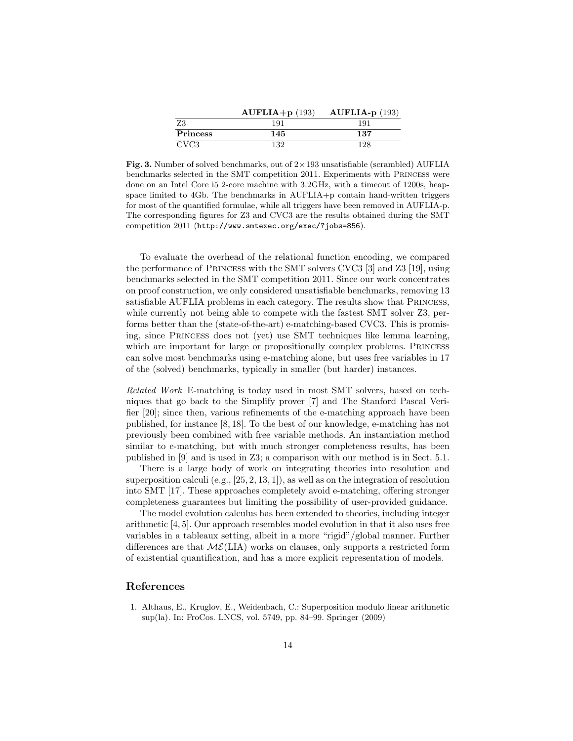|          | $AUFLIA+p(193)$ | $AUFLIA-p$ (193) |
|----------|-----------------|------------------|
| Z3       | 191             | 191              |
| Princess | 145             | 137              |
| CVC3     | 132             | 128              |

Fig. 3. Number of solved benchmarks, out of  $2 \times 193$  unsatisfiable (scrambled) AUFLIA benchmarks selected in the SMT competition 2011. Experiments with Princess were done on an Intel Core i5 2-core machine with 3.2GHz, with a timeout of 1200s, heapspace limited to 4Gb. The benchmarks in AUFLIA+p contain hand-written triggers for most of the quantified formulae, while all triggers have been removed in AUFLIA-p. The corresponding figures for Z3 and CVC3 are the results obtained during the SMT competition 2011 (http://www.smtexec.org/exec/?jobs=856).

To evaluate the overhead of the relational function encoding, we compared the performance of Princess with the SMT solvers CVC3 [3] and Z3 [19], using benchmarks selected in the SMT competition 2011. Since our work concentrates on proof construction, we only considered unsatisfiable benchmarks, removing 13 satisfiable AUFLIA problems in each category. The results show that Princess, while currently not being able to compete with the fastest SMT solver  $Z3$ , performs better than the (state-of-the-art) e-matching-based CVC3. This is promising, since Princess does not (yet) use SMT techniques like lemma learning, which are important for large or propositionally complex problems. PRINCESS can solve most benchmarks using e-matching alone, but uses free variables in 17 of the (solved) benchmarks, typically in smaller (but harder) instances.

Related Work E-matching is today used in most SMT solvers, based on techniques that go back to the Simplify prover [7] and The Stanford Pascal Verifier [20]; since then, various refinements of the e-matching approach have been published, for instance [8, 18]. To the best of our knowledge, e-matching has not previously been combined with free variable methods. An instantiation method similar to e-matching, but with much stronger completeness results, has been published in [9] and is used in Z3; a comparison with our method is in Sect. 5.1.

There is a large body of work on integrating theories into resolution and superposition calculi (e.g.,  $[25, 2, 13, 1]$ ), as well as on the integration of resolution into SMT [17]. These approaches completely avoid e-matching, offering stronger completeness guarantees but limiting the possibility of user-provided guidance.

The model evolution calculus has been extended to theories, including integer arithmetic [4, 5]. Our approach resembles model evolution in that it also uses free variables in a tableaux setting, albeit in a more "rigid"/global manner. Further differences are that  $\mathcal{M}\mathcal{E}(LIA)$  works on clauses, only supports a restricted form of existential quantification, and has a more explicit representation of models.

## References

1. Althaus, E., Kruglov, E., Weidenbach, C.: Superposition modulo linear arithmetic sup(la). In: FroCos. LNCS, vol. 5749, pp. 84–99. Springer (2009)